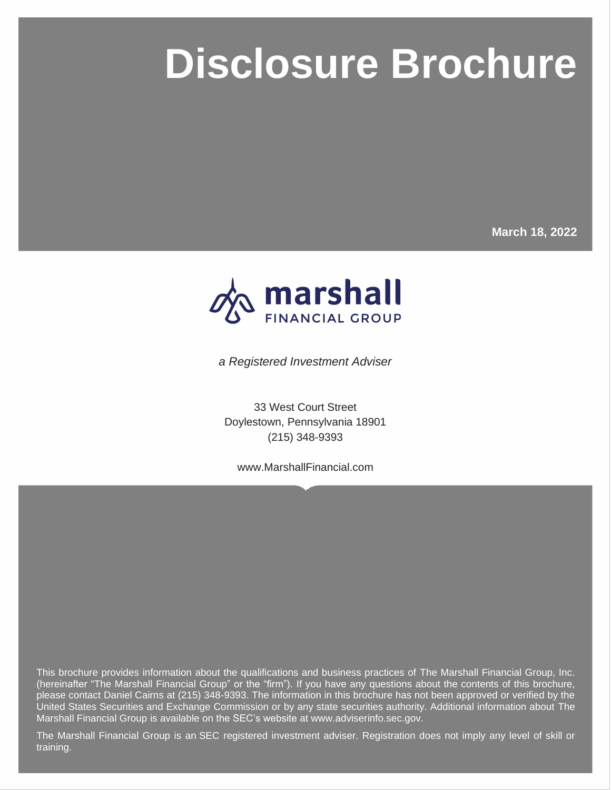# **Disclosure Brochure**

**March 18, 2022**



**Disclosure Brochure**

*a Registered Investment Adviser*

33 West Court Street Doylestown, Pennsylvania 18901 (215) 348-9393

www.MarshallFinancial.com

This brochure provides information about the qualifications and business practices of The Marshall Financial Group, Inc. (hereinafter "The Marshall Financial Group" or the "firm"). If you have any questions about the contents of this brochure, please contact Daniel Cairns at (215) 348-9393. The information in this brochure has not been approved or verified by the United States Securities and Exchange Commission or by any state securities authority. Additional information about The Marshall Financial Group is available on the SEC's website at www.adviserinfo.sec.gov.

The Marshall Financial Group is an SEC registered investment adviser. Registration does not imply any level of skill or training.

Page i © MarketCounsel 2022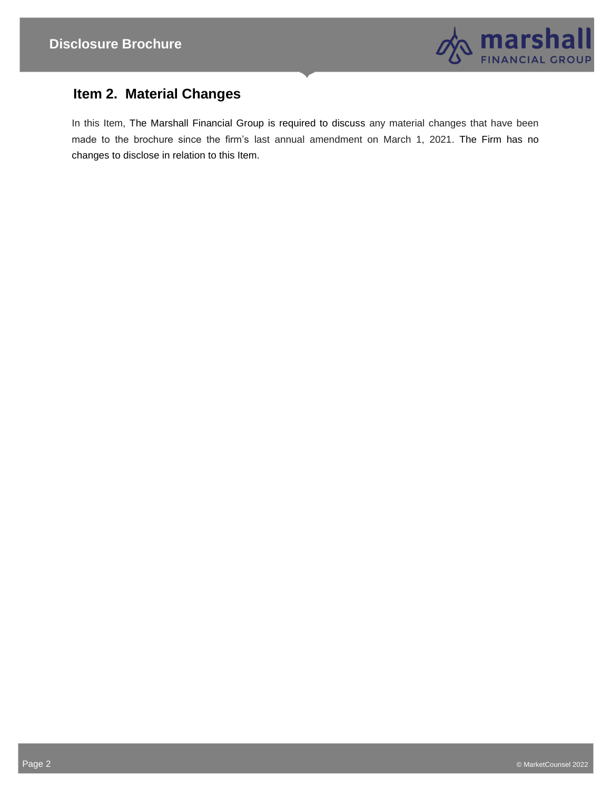

# **Item 2. Material Changes**

In this Item, The Marshall Financial Group is required to discuss any material changes that have been made to the brochure since the firm's last annual amendment on March 1, 2021. The Firm has no changes to disclose in relation to this Item.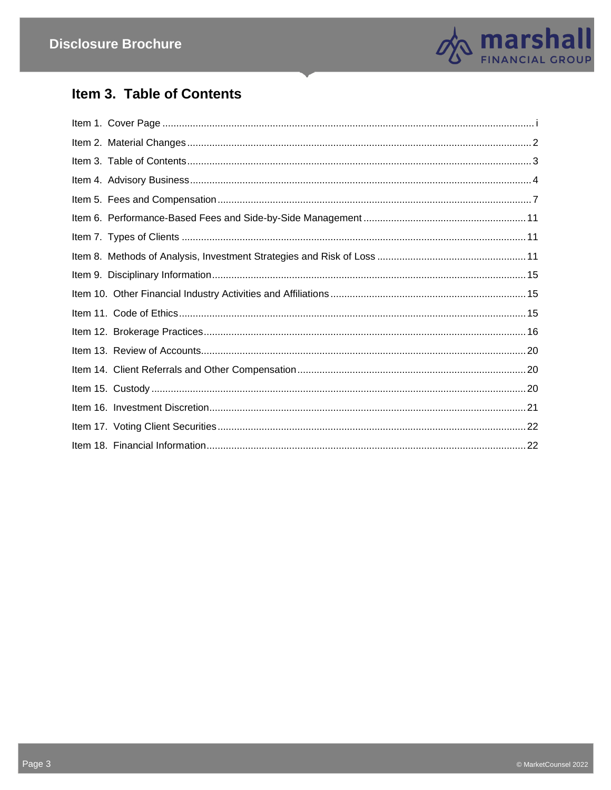

# Item 3. Table of Contents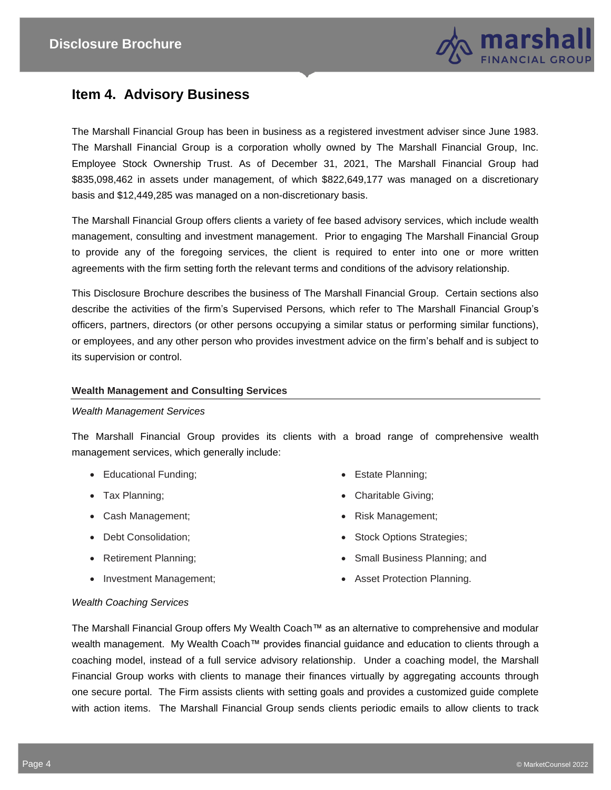

# **Item 4. Advisory Business**

The Marshall Financial Group has been in business as a registered investment adviser since June 1983. The Marshall Financial Group is a corporation wholly owned by The Marshall Financial Group, Inc. Employee Stock Ownership Trust. As of December 31, 2021, The Marshall Financial Group had \$835,098,462 in assets under management, of which \$822,649,177 was managed on a discretionary basis and \$12,449,285 was managed on a non-discretionary basis.

The Marshall Financial Group offers clients a variety of fee based advisory services, which include wealth management, consulting and investment management. Prior to engaging The Marshall Financial Group to provide any of the foregoing services, the client is required to enter into one or more written agreements with the firm setting forth the relevant terms and conditions of the advisory relationship.

This Disclosure Brochure describes the business of The Marshall Financial Group. Certain sections also describe the activities of the firm's Supervised Persons*,* which refer to The Marshall Financial Group's officers, partners, directors (or other persons occupying a similar status or performing similar functions), or employees, and any other person who provides investment advice on the firm's behalf and is subject to its supervision or control.

#### **Wealth Management and Consulting Services**

#### *Wealth Management Services*

The Marshall Financial Group provides its clients with a broad range of comprehensive wealth management services, which generally include:

- Educational Funding;
- Tax Planning;
- Cash Management;
- Debt Consolidation;
- Retirement Planning;
- Investment Management;
- Estate Planning;
- Charitable Giving;
- Risk Management;
- Stock Options Strategies;
- Small Business Planning; and
- Asset Protection Planning.

#### *Wealth Coaching Services*

The Marshall Financial Group offers My Wealth Coach™ as an alternative to comprehensive and modular wealth management. My Wealth Coach™ provides financial guidance and education to clients through a coaching model, instead of a full service advisory relationship. Under a coaching model, the Marshall Financial Group works with clients to manage their finances virtually by aggregating accounts through one secure portal. The Firm assists clients with setting goals and provides a customized guide complete with action items. The Marshall Financial Group sends clients periodic emails to allow clients to track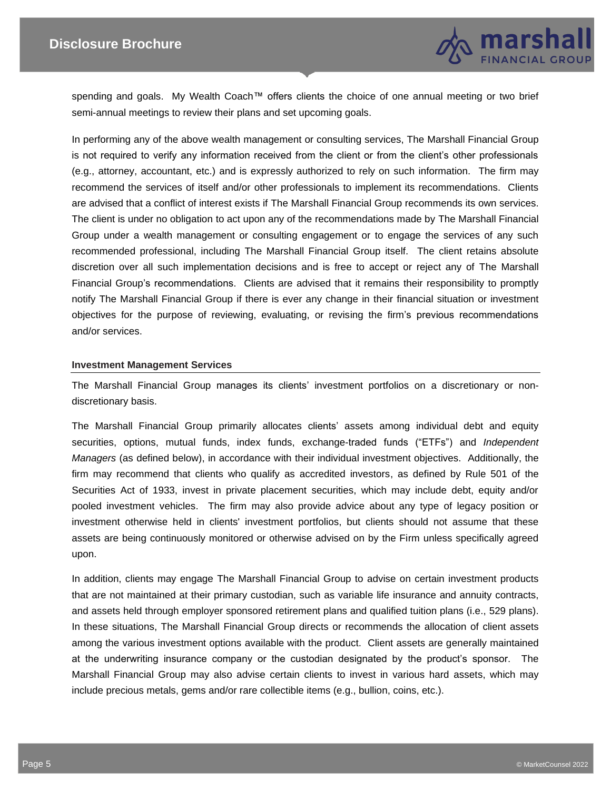

spending and goals. My Wealth Coach™ offers clients the choice of one annual meeting or two brief semi-annual meetings to review their plans and set upcoming goals.

In performing any of the above wealth management or consulting services, The Marshall Financial Group is not required to verify any information received from the client or from the client's other professionals (e.g., attorney, accountant, etc.) and is expressly authorized to rely on such information. The firm may recommend the services of itself and/or other professionals to implement its recommendations. Clients are advised that a conflict of interest exists if The Marshall Financial Group recommends its own services. The client is under no obligation to act upon any of the recommendations made by The Marshall Financial Group under a wealth management or consulting engagement or to engage the services of any such recommended professional, including The Marshall Financial Group itself. The client retains absolute discretion over all such implementation decisions and is free to accept or reject any of The Marshall Financial Group's recommendations. Clients are advised that it remains their responsibility to promptly notify The Marshall Financial Group if there is ever any change in their financial situation or investment objectives for the purpose of reviewing, evaluating, or revising the firm's previous recommendations and/or services.

#### **Investment Management Services**

The Marshall Financial Group manages its clients' investment portfolios on a discretionary or nondiscretionary basis.

The Marshall Financial Group primarily allocates clients' assets among individual debt and equity securities, options, mutual funds, index funds, exchange-traded funds ("ETFs") and *Independent Managers* (as defined below), in accordance with their individual investment objectives. Additionally, the firm may recommend that clients who qualify as accredited investors, as defined by Rule 501 of the Securities Act of 1933, invest in private placement securities, which may include debt, equity and/or pooled investment vehicles. The firm may also provide advice about any type of legacy position or investment otherwise held in clients' investment portfolios, but clients should not assume that these assets are being continuously monitored or otherwise advised on by the Firm unless specifically agreed upon.

In addition, clients may engage The Marshall Financial Group to advise on certain investment products that are not maintained at their primary custodian, such as variable life insurance and annuity contracts, and assets held through employer sponsored retirement plans and qualified tuition plans (i.e., 529 plans). In these situations, The Marshall Financial Group directs or recommends the allocation of client assets among the various investment options available with the product. Client assets are generally maintained at the underwriting insurance company or the custodian designated by the product's sponsor. The Marshall Financial Group may also advise certain clients to invest in various hard assets, which may include precious metals, gems and/or rare collectible items (e.g., bullion, coins, etc.).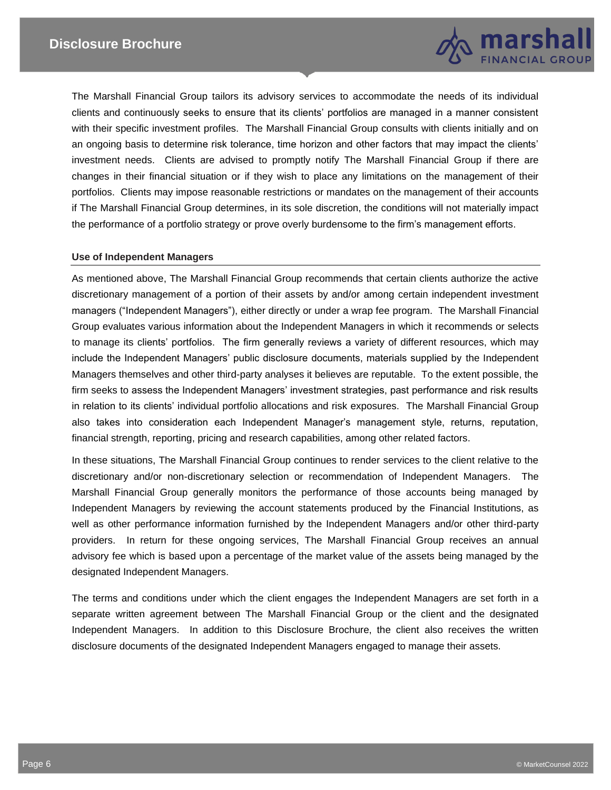

The Marshall Financial Group tailors its advisory services to accommodate the needs of its individual clients and continuously seeks to ensure that its clients' portfolios are managed in a manner consistent with their specific investment profiles. The Marshall Financial Group consults with clients initially and on an ongoing basis to determine risk tolerance, time horizon and other factors that may impact the clients' investment needs. Clients are advised to promptly notify The Marshall Financial Group if there are changes in their financial situation or if they wish to place any limitations on the management of their portfolios. Clients may impose reasonable restrictions or mandates on the management of their accounts if The Marshall Financial Group determines, in its sole discretion, the conditions will not materially impact the performance of a portfolio strategy or prove overly burdensome to the firm's management efforts.

#### **Use of Independent Managers**

As mentioned above, The Marshall Financial Group recommends that certain clients authorize the active discretionary management of a portion of their assets by and/or among certain independent investment managers ("Independent Managers"), either directly or under a wrap fee program. The Marshall Financial Group evaluates various information about the Independent Managers in which it recommends or selects to manage its clients' portfolios. The firm generally reviews a variety of different resources, which may include the Independent Managers' public disclosure documents, materials supplied by the Independent Managers themselves and other third-party analyses it believes are reputable. To the extent possible, the firm seeks to assess the Independent Managers' investment strategies, past performance and risk results in relation to its clients' individual portfolio allocations and risk exposures. The Marshall Financial Group also takes into consideration each Independent Manager's management style, returns, reputation, financial strength, reporting, pricing and research capabilities, among other related factors.

In these situations, The Marshall Financial Group continues to render services to the client relative to the discretionary and/or non-discretionary selection or recommendation of Independent Managers. The Marshall Financial Group generally monitors the performance of those accounts being managed by Independent Managers by reviewing the account statements produced by the Financial Institutions, as well as other performance information furnished by the Independent Managers and/or other third-party providers. In return for these ongoing services, The Marshall Financial Group receives an annual advisory fee which is based upon a percentage of the market value of the assets being managed by the designated Independent Managers.

The terms and conditions under which the client engages the Independent Managers are set forth in a separate written agreement between The Marshall Financial Group or the client and the designated Independent Managers. In addition to this Disclosure Brochure, the client also receives the written disclosure documents of the designated Independent Managers engaged to manage their assets.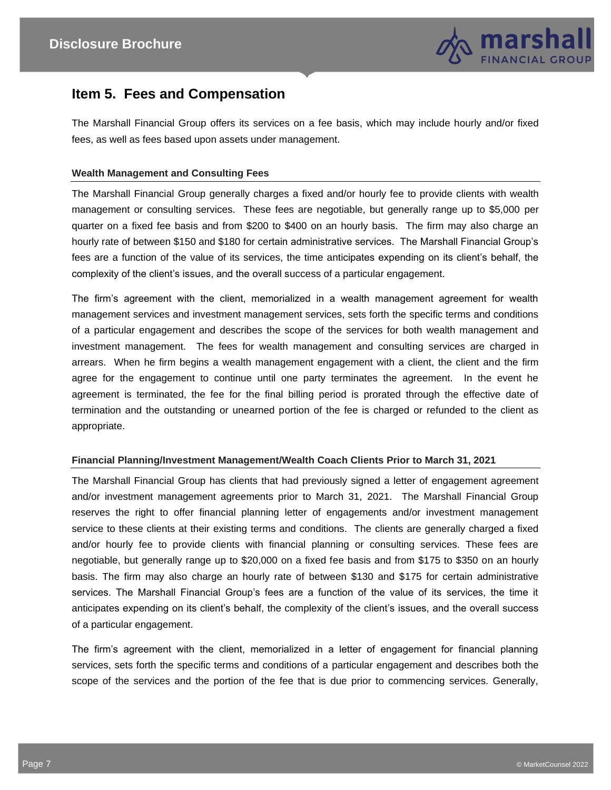

## **Item 5. Fees and Compensation**

The Marshall Financial Group offers its services on a fee basis, which may include hourly and/or fixed fees, as well as fees based upon assets under management.

#### **Wealth Management and Consulting Fees**

The Marshall Financial Group generally charges a fixed and/or hourly fee to provide clients with wealth management or consulting services. These fees are negotiable, but generally range up to \$5,000 per quarter on a fixed fee basis and from \$200 to \$400 on an hourly basis. The firm may also charge an hourly rate of between \$150 and \$180 for certain administrative services. The Marshall Financial Group's fees are a function of the value of its services, the time anticipates expending on its client's behalf, the complexity of the client's issues, and the overall success of a particular engagement.

The firm's agreement with the client, memorialized in a wealth management agreement for wealth management services and investment management services, sets forth the specific terms and conditions of a particular engagement and describes the scope of the services for both wealth management and investment management. The fees for wealth management and consulting services are charged in arrears. When he firm begins a wealth management engagement with a client, the client and the firm agree for the engagement to continue until one party terminates the agreement. In the event he agreement is terminated, the fee for the final billing period is prorated through the effective date of termination and the outstanding or unearned portion of the fee is charged or refunded to the client as appropriate.

#### **Financial Planning/Investment Management/Wealth Coach Clients Prior to March 31, 2021**

The Marshall Financial Group has clients that had previously signed a letter of engagement agreement and/or investment management agreements prior to March 31, 2021. The Marshall Financial Group reserves the right to offer financial planning letter of engagements and/or investment management service to these clients at their existing terms and conditions. The clients are generally charged a fixed and/or hourly fee to provide clients with financial planning or consulting services. These fees are negotiable, but generally range up to \$20,000 on a fixed fee basis and from \$175 to \$350 on an hourly basis. The firm may also charge an hourly rate of between \$130 and \$175 for certain administrative services. The Marshall Financial Group's fees are a function of the value of its services, the time it anticipates expending on its client's behalf, the complexity of the client's issues, and the overall success of a particular engagement.

The firm's agreement with the client, memorialized in a letter of engagement for financial planning services, sets forth the specific terms and conditions of a particular engagement and describes both the scope of the services and the portion of the fee that is due prior to commencing services. Generally,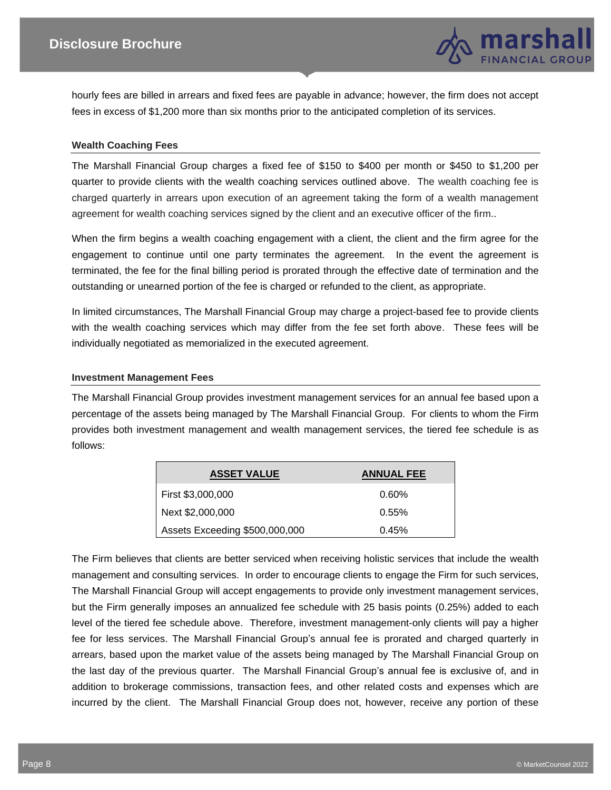

hourly fees are billed in arrears and fixed fees are payable in advance; however, the firm does not accept fees in excess of \$1,200 more than six months prior to the anticipated completion of its services.

#### **Wealth Coaching Fees**

The Marshall Financial Group charges a fixed fee of \$150 to \$400 per month or \$450 to \$1,200 per quarter to provide clients with the wealth coaching services outlined above. The wealth coaching fee is charged quarterly in arrears upon execution of an agreement taking the form of a wealth management agreement for wealth coaching services signed by the client and an executive officer of the firm..

When the firm begins a wealth coaching engagement with a client, the client and the firm agree for the engagement to continue until one party terminates the agreement. In the event the agreement is terminated, the fee for the final billing period is prorated through the effective date of termination and the outstanding or unearned portion of the fee is charged or refunded to the client, as appropriate.

In limited circumstances, The Marshall Financial Group may charge a project-based fee to provide clients with the wealth coaching services which may differ from the fee set forth above. These fees will be individually negotiated as memorialized in the executed agreement.

#### **Investment Management Fees**

The Marshall Financial Group provides investment management services for an annual fee based upon a percentage of the assets being managed by The Marshall Financial Group. For clients to whom the Firm provides both investment management and wealth management services, the tiered fee schedule is as follows:

| <b>ASSET VALUE</b>             | <b>ANNUAL FEE</b> |
|--------------------------------|-------------------|
| First \$3,000,000              | $0.60\%$          |
| Next \$2,000,000               | 0.55%             |
| Assets Exceeding \$500,000,000 | 0.45%             |

The Firm believes that clients are better serviced when receiving holistic services that include the wealth management and consulting services. In order to encourage clients to engage the Firm for such services, The Marshall Financial Group will accept engagements to provide only investment management services, but the Firm generally imposes an annualized fee schedule with 25 basis points (0.25%) added to each level of the tiered fee schedule above. Therefore, investment management-only clients will pay a higher fee for less services. The Marshall Financial Group's annual fee is prorated and charged quarterly in arrears, based upon the market value of the assets being managed by The Marshall Financial Group on the last day of the previous quarter. The Marshall Financial Group's annual fee is exclusive of, and in addition to brokerage commissions, transaction fees, and other related costs and expenses which are incurred by the client. The Marshall Financial Group does not, however, receive any portion of these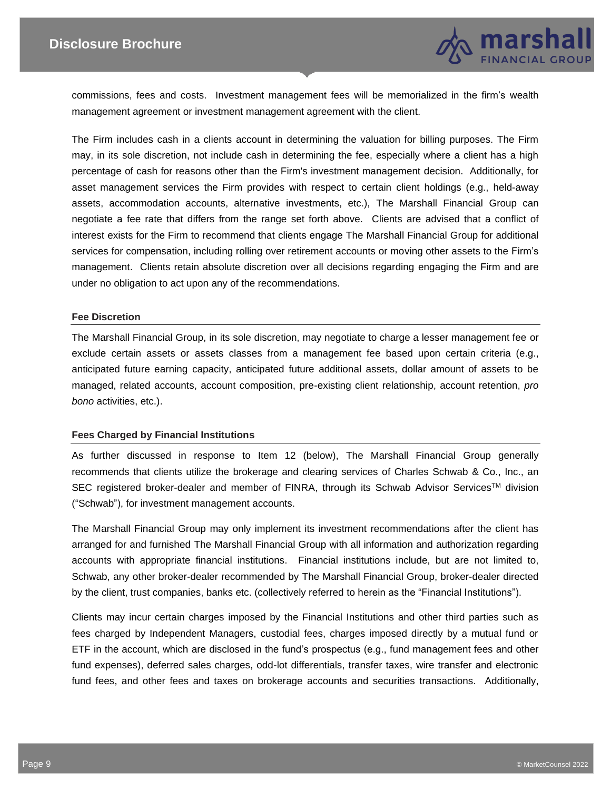

commissions, fees and costs. Investment management fees will be memorialized in the firm's wealth management agreement or investment management agreement with the client.

The Firm includes cash in a clients account in determining the valuation for billing purposes. The Firm may, in its sole discretion, not include cash in determining the fee, especially where a client has a high percentage of cash for reasons other than the Firm's investment management decision. Additionally, for asset management services the Firm provides with respect to certain client holdings (e.g., held-away assets, accommodation accounts, alternative investments, etc.), The Marshall Financial Group can negotiate a fee rate that differs from the range set forth above. Clients are advised that a conflict of interest exists for the Firm to recommend that clients engage The Marshall Financial Group for additional services for compensation, including rolling over retirement accounts or moving other assets to the Firm's management. Clients retain absolute discretion over all decisions regarding engaging the Firm and are under no obligation to act upon any of the recommendations.

#### **Fee Discretion**

The Marshall Financial Group, in its sole discretion, may negotiate to charge a lesser management fee or exclude certain assets or assets classes from a management fee based upon certain criteria (e.g., anticipated future earning capacity, anticipated future additional assets, dollar amount of assets to be managed, related accounts, account composition, pre-existing client relationship, account retention, *pro bono* activities, etc.).

#### **Fees Charged by Financial Institutions**

As further discussed in response to Item 12 (below), The Marshall Financial Group generally recommends that clients utilize the brokerage and clearing services of Charles Schwab & Co., Inc., an SEC registered broker-dealer and member of FINRA, through its Schwab Advisor Services™ division ("Schwab"), for investment management accounts.

The Marshall Financial Group may only implement its investment recommendations after the client has arranged for and furnished The Marshall Financial Group with all information and authorization regarding accounts with appropriate financial institutions. Financial institutions include, but are not limited to, Schwab, any other broker-dealer recommended by The Marshall Financial Group, broker-dealer directed by the client, trust companies, banks etc. (collectively referred to herein as the "Financial Institutions").

Clients may incur certain charges imposed by the Financial Institutions and other third parties such as fees charged by Independent Managers, custodial fees, charges imposed directly by a mutual fund or ETF in the account, which are disclosed in the fund's prospectus (e.g., fund management fees and other fund expenses), deferred sales charges, odd-lot differentials, transfer taxes, wire transfer and electronic fund fees, and other fees and taxes on brokerage accounts and securities transactions. Additionally,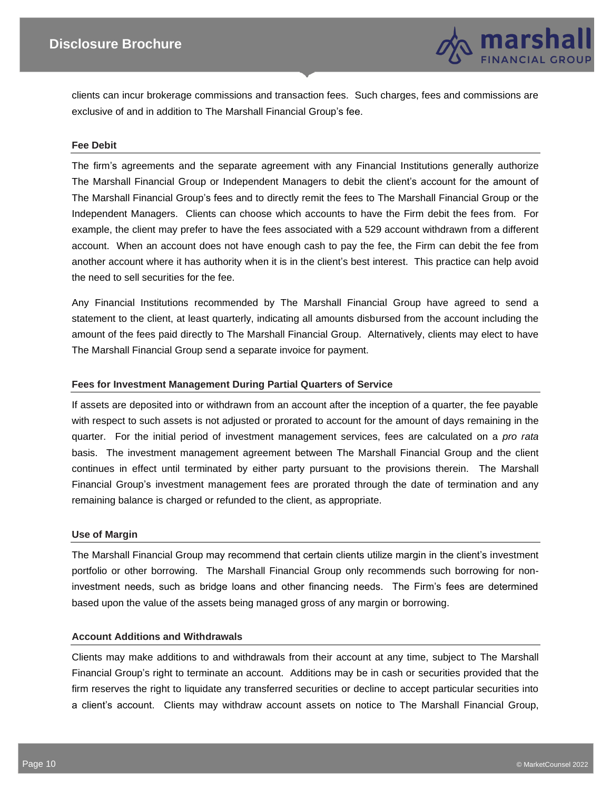

clients can incur brokerage commissions and transaction fees. Such charges, fees and commissions are exclusive of and in addition to The Marshall Financial Group's fee.

#### **Fee Debit**

The firm's agreements and the separate agreement with any Financial Institutions generally authorize The Marshall Financial Group or Independent Managers to debit the client's account for the amount of The Marshall Financial Group's fees and to directly remit the fees to The Marshall Financial Group or the Independent Managers. Clients can choose which accounts to have the Firm debit the fees from. For example, the client may prefer to have the fees associated with a 529 account withdrawn from a different account. When an account does not have enough cash to pay the fee, the Firm can debit the fee from another account where it has authority when it is in the client's best interest. This practice can help avoid the need to sell securities for the fee.

Any Financial Institutions recommended by The Marshall Financial Group have agreed to send a statement to the client, at least quarterly, indicating all amounts disbursed from the account including the amount of the fees paid directly to The Marshall Financial Group. Alternatively, clients may elect to have The Marshall Financial Group send a separate invoice for payment.

#### **Fees for Investment Management During Partial Quarters of Service**

If assets are deposited into or withdrawn from an account after the inception of a quarter, the fee payable with respect to such assets is not adjusted or prorated to account for the amount of days remaining in the quarter. For the initial period of investment management services, fees are calculated on a *pro rata*  basis. The investment management agreement between The Marshall Financial Group and the client continues in effect until terminated by either party pursuant to the provisions therein. The Marshall Financial Group's investment management fees are prorated through the date of termination and any remaining balance is charged or refunded to the client, as appropriate.

#### **Use of Margin**

The Marshall Financial Group may recommend that certain clients utilize margin in the client's investment portfolio or other borrowing. The Marshall Financial Group only recommends such borrowing for noninvestment needs, such as bridge loans and other financing needs. The Firm's fees are determined based upon the value of the assets being managed gross of any margin or borrowing.

#### **Account Additions and Withdrawals**

Clients may make additions to and withdrawals from their account at any time, subject to The Marshall Financial Group's right to terminate an account. Additions may be in cash or securities provided that the firm reserves the right to liquidate any transferred securities or decline to accept particular securities into a client's account. Clients may withdraw account assets on notice to The Marshall Financial Group,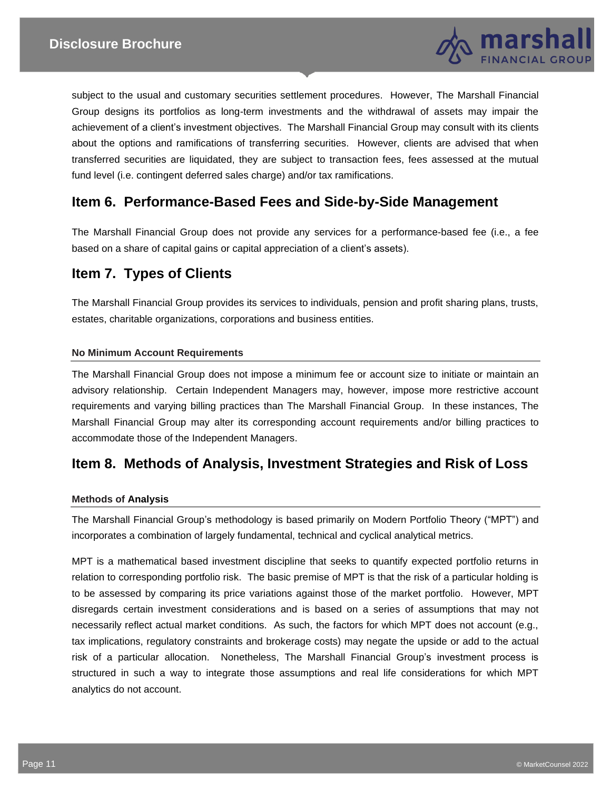

subject to the usual and customary securities settlement procedures. However, The Marshall Financial Group designs its portfolios as long-term investments and the withdrawal of assets may impair the achievement of a client's investment objectives. The Marshall Financial Group may consult with its clients about the options and ramifications of transferring securities. However, clients are advised that when transferred securities are liquidated, they are subject to transaction fees, fees assessed at the mutual fund level (i.e. contingent deferred sales charge) and/or tax ramifications.

## **Item 6. Performance-Based Fees and Side-by-Side Management**

The Marshall Financial Group does not provide any services for a performance-based fee (i.e., a fee based on a share of capital gains or capital appreciation of a client's assets).

# **Item 7. Types of Clients**

The Marshall Financial Group provides its services to individuals, pension and profit sharing plans, trusts, estates, charitable organizations, corporations and business entities.

#### **No Minimum Account Requirements**

The Marshall Financial Group does not impose a minimum fee or account size to initiate or maintain an advisory relationship. Certain Independent Managers may, however, impose more restrictive account requirements and varying billing practices than The Marshall Financial Group. In these instances, The Marshall Financial Group may alter its corresponding account requirements and/or billing practices to accommodate those of the Independent Managers.

## **Item 8. Methods of Analysis, Investment Strategies and Risk of Loss**

#### **Methods of Analysis**

The Marshall Financial Group's methodology is based primarily on Modern Portfolio Theory ("MPT") and incorporates a combination of largely fundamental, technical and cyclical analytical metrics.

MPT is a mathematical based investment discipline that seeks to quantify expected portfolio returns in relation to corresponding portfolio risk. The basic premise of MPT is that the risk of a particular holding is to be assessed by comparing its price variations against those of the market portfolio. However, MPT disregards certain investment considerations and is based on a series of assumptions that may not necessarily reflect actual market conditions. As such, the factors for which MPT does not account (e.g., tax implications, regulatory constraints and brokerage costs) may negate the upside or add to the actual risk of a particular allocation. Nonetheless, The Marshall Financial Group's investment process is structured in such a way to integrate those assumptions and real life considerations for which MPT analytics do not account.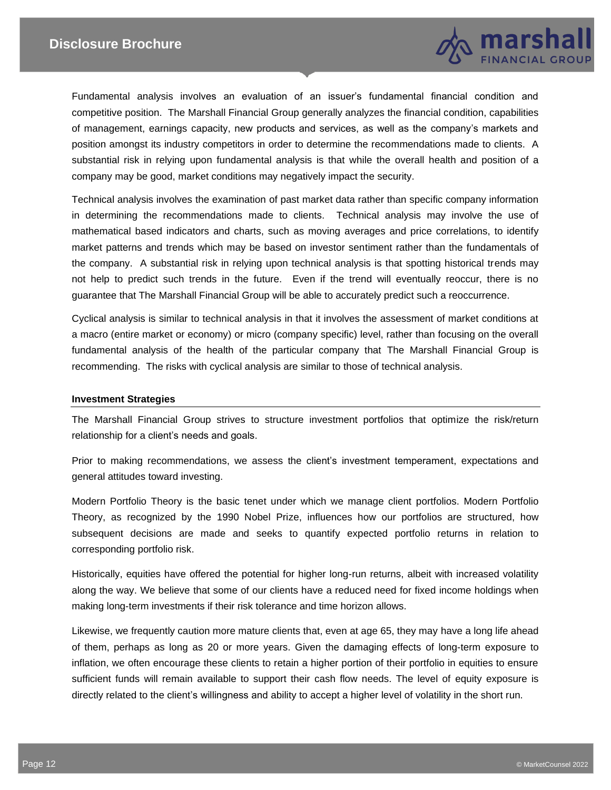

Fundamental analysis involves an evaluation of an issuer's fundamental financial condition and competitive position. The Marshall Financial Group generally analyzes the financial condition, capabilities of management, earnings capacity, new products and services, as well as the company's markets and position amongst its industry competitors in order to determine the recommendations made to clients. A substantial risk in relying upon fundamental analysis is that while the overall health and position of a company may be good, market conditions may negatively impact the security.

Technical analysis involves the examination of past market data rather than specific company information in determining the recommendations made to clients. Technical analysis may involve the use of mathematical based indicators and charts, such as moving averages and price correlations, to identify market patterns and trends which may be based on investor sentiment rather than the fundamentals of the company. A substantial risk in relying upon technical analysis is that spotting historical trends may not help to predict such trends in the future. Even if the trend will eventually reoccur, there is no guarantee that The Marshall Financial Group will be able to accurately predict such a reoccurrence.

Cyclical analysis is similar to technical analysis in that it involves the assessment of market conditions at a macro (entire market or economy) or micro (company specific) level, rather than focusing on the overall fundamental analysis of the health of the particular company that The Marshall Financial Group is recommending. The risks with cyclical analysis are similar to those of technical analysis.

#### **Investment Strategies**

The Marshall Financial Group strives to structure investment portfolios that optimize the risk/return relationship for a client's needs and goals.

Prior to making recommendations, we assess the client's investment temperament, expectations and general attitudes toward investing.

Modern Portfolio Theory is the basic tenet under which we manage client portfolios. Modern Portfolio Theory, as recognized by the 1990 Nobel Prize, influences how our portfolios are structured, how subsequent decisions are made and seeks to quantify expected portfolio returns in relation to corresponding portfolio risk.

Historically, equities have offered the potential for higher long-run returns, albeit with increased volatility along the way. We believe that some of our clients have a reduced need for fixed income holdings when making long-term investments if their risk tolerance and time horizon allows.

Likewise, we frequently caution more mature clients that, even at age 65, they may have a long life ahead of them, perhaps as long as 20 or more years. Given the damaging effects of long-term exposure to inflation, we often encourage these clients to retain a higher portion of their portfolio in equities to ensure sufficient funds will remain available to support their cash flow needs. The level of equity exposure is directly related to the client's willingness and ability to accept a higher level of volatility in the short run.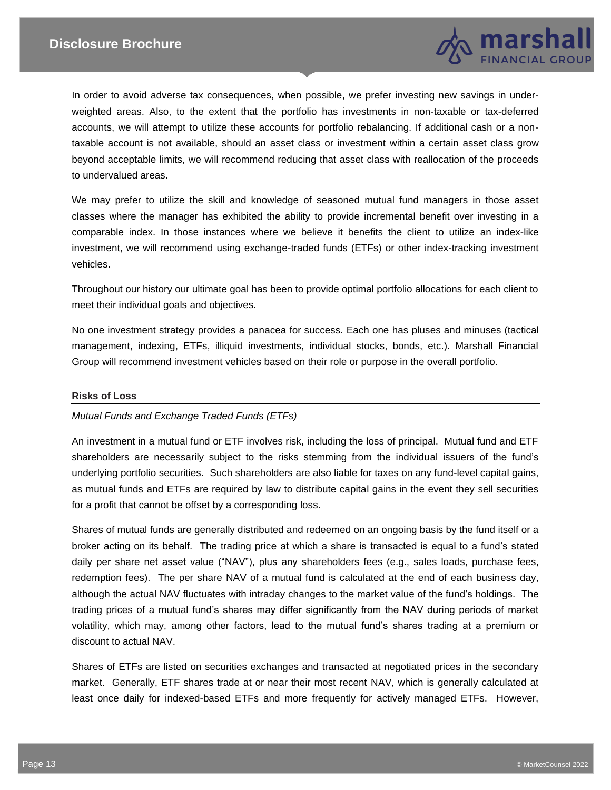

In order to avoid adverse tax consequences, when possible, we prefer investing new savings in underweighted areas. Also, to the extent that the portfolio has investments in non-taxable or tax-deferred accounts, we will attempt to utilize these accounts for portfolio rebalancing. If additional cash or a nontaxable account is not available, should an asset class or investment within a certain asset class grow beyond acceptable limits, we will recommend reducing that asset class with reallocation of the proceeds to undervalued areas.

We may prefer to utilize the skill and knowledge of seasoned mutual fund managers in those asset classes where the manager has exhibited the ability to provide incremental benefit over investing in a comparable index. In those instances where we believe it benefits the client to utilize an index-like investment, we will recommend using exchange-traded funds (ETFs) or other index-tracking investment vehicles.

Throughout our history our ultimate goal has been to provide optimal portfolio allocations for each client to meet their individual goals and objectives.

No one investment strategy provides a panacea for success. Each one has pluses and minuses (tactical management, indexing, ETFs, illiquid investments, individual stocks, bonds, etc.). Marshall Financial Group will recommend investment vehicles based on their role or purpose in the overall portfolio.

#### **Risks of Loss**

#### *Mutual Funds and Exchange Traded Funds (ETFs)*

An investment in a mutual fund or ETF involves risk, including the loss of principal. Mutual fund and ETF shareholders are necessarily subject to the risks stemming from the individual issuers of the fund's underlying portfolio securities. Such shareholders are also liable for taxes on any fund-level capital gains, as mutual funds and ETFs are required by law to distribute capital gains in the event they sell securities for a profit that cannot be offset by a corresponding loss.

Shares of mutual funds are generally distributed and redeemed on an ongoing basis by the fund itself or a broker acting on its behalf. The trading price at which a share is transacted is equal to a fund's stated daily per share net asset value ("NAV"), plus any shareholders fees (e.g., sales loads, purchase fees, redemption fees). The per share NAV of a mutual fund is calculated at the end of each business day, although the actual NAV fluctuates with intraday changes to the market value of the fund's holdings. The trading prices of a mutual fund's shares may differ significantly from the NAV during periods of market volatility, which may, among other factors, lead to the mutual fund's shares trading at a premium or discount to actual NAV.

Shares of ETFs are listed on securities exchanges and transacted at negotiated prices in the secondary market. Generally, ETF shares trade at or near their most recent NAV, which is generally calculated at least once daily for indexed-based ETFs and more frequently for actively managed ETFs. However,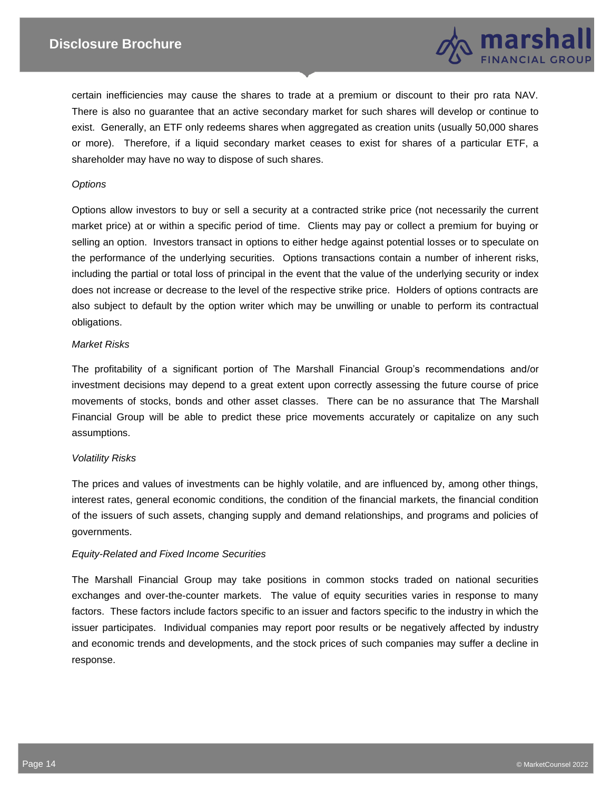

certain inefficiencies may cause the shares to trade at a premium or discount to their pro rata NAV. There is also no guarantee that an active secondary market for such shares will develop or continue to exist. Generally, an ETF only redeems shares when aggregated as creation units (usually 50,000 shares or more). Therefore, if a liquid secondary market ceases to exist for shares of a particular ETF, a shareholder may have no way to dispose of such shares.

#### *Options*

Options allow investors to buy or sell a security at a contracted strike price (not necessarily the current market price) at or within a specific period of time. Clients may pay or collect a premium for buying or selling an option. Investors transact in options to either hedge against potential losses or to speculate on the performance of the underlying securities. Options transactions contain a number of inherent risks, including the partial or total loss of principal in the event that the value of the underlying security or index does not increase or decrease to the level of the respective strike price. Holders of options contracts are also subject to default by the option writer which may be unwilling or unable to perform its contractual obligations.

#### *Market Risks*

The profitability of a significant portion of The Marshall Financial Group's recommendations and/or investment decisions may depend to a great extent upon correctly assessing the future course of price movements of stocks, bonds and other asset classes. There can be no assurance that The Marshall Financial Group will be able to predict these price movements accurately or capitalize on any such assumptions.

#### *Volatility Risks*

The prices and values of investments can be highly volatile, and are influenced by, among other things, interest rates, general economic conditions, the condition of the financial markets, the financial condition of the issuers of such assets, changing supply and demand relationships, and programs and policies of governments.

#### *Equity-Related and Fixed Income Securities*

The Marshall Financial Group may take positions in common stocks traded on national securities exchanges and over-the-counter markets. The value of equity securities varies in response to many factors. These factors include factors specific to an issuer and factors specific to the industry in which the issuer participates. Individual companies may report poor results or be negatively affected by industry and economic trends and developments, and the stock prices of such companies may suffer a decline in response.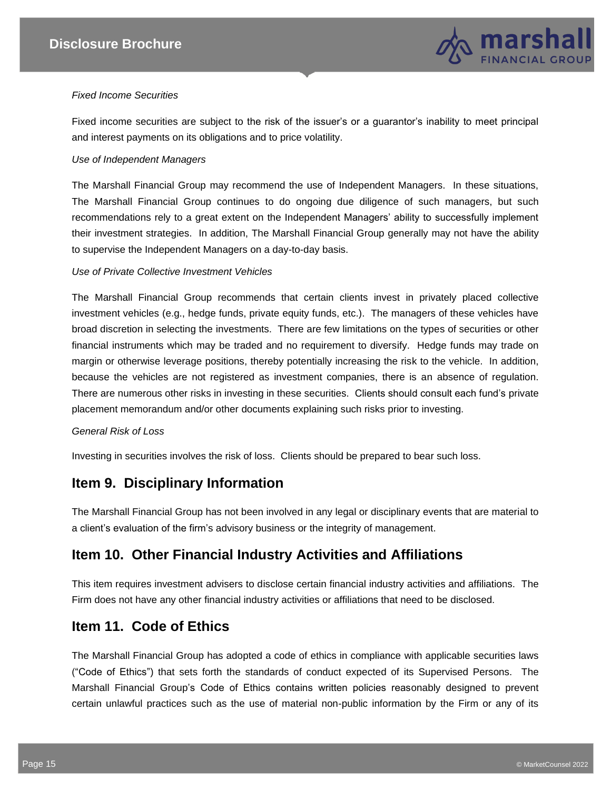

#### *Fixed Income Securities*

Fixed income securities are subject to the risk of the issuer's or a guarantor's inability to meet principal and interest payments on its obligations and to price volatility.

#### *Use of Independent Managers*

The Marshall Financial Group may recommend the use of Independent Managers. In these situations, The Marshall Financial Group continues to do ongoing due diligence of such managers, but such recommendations rely to a great extent on the Independent Managers' ability to successfully implement their investment strategies. In addition, The Marshall Financial Group generally may not have the ability to supervise the Independent Managers on a day-to-day basis.

#### *Use of Private Collective Investment Vehicles*

The Marshall Financial Group recommends that certain clients invest in privately placed collective investment vehicles (e.g., hedge funds, private equity funds, etc.). The managers of these vehicles have broad discretion in selecting the investments. There are few limitations on the types of securities or other financial instruments which may be traded and no requirement to diversify. Hedge funds may trade on margin or otherwise leverage positions, thereby potentially increasing the risk to the vehicle. In addition, because the vehicles are not registered as investment companies, there is an absence of regulation. There are numerous other risks in investing in these securities. Clients should consult each fund's private placement memorandum and/or other documents explaining such risks prior to investing.

#### *General Risk of Loss*

Investing in securities involves the risk of loss. Clients should be prepared to bear such loss.

# **Item 9. Disciplinary Information**

The Marshall Financial Group has not been involved in any legal or disciplinary events that are material to a client's evaluation of the firm's advisory business or the integrity of management.

# **Item 10. Other Financial Industry Activities and Affiliations**

This item requires investment advisers to disclose certain financial industry activities and affiliations. The Firm does not have any other financial industry activities or affiliations that need to be disclosed.

## **Item 11. Code of Ethics**

The Marshall Financial Group has adopted a code of ethics in compliance with applicable securities laws ("Code of Ethics") that sets forth the standards of conduct expected of its Supervised Persons. The Marshall Financial Group's Code of Ethics contains written policies reasonably designed to prevent certain unlawful practices such as the use of material non-public information by the Firm or any of its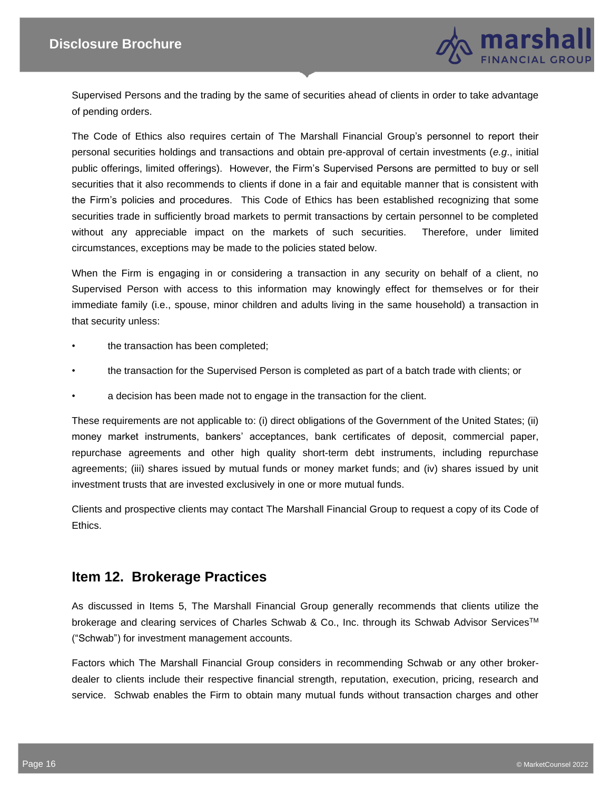

Supervised Persons and the trading by the same of securities ahead of clients in order to take advantage of pending orders.

The Code of Ethics also requires certain of The Marshall Financial Group's personnel to report their personal securities holdings and transactions and obtain pre-approval of certain investments (*e.g*., initial public offerings, limited offerings). However, the Firm's Supervised Persons are permitted to buy or sell securities that it also recommends to clients if done in a fair and equitable manner that is consistent with the Firm's policies and procedures. This Code of Ethics has been established recognizing that some securities trade in sufficiently broad markets to permit transactions by certain personnel to be completed without any appreciable impact on the markets of such securities. Therefore, under limited circumstances, exceptions may be made to the policies stated below.

When the Firm is engaging in or considering a transaction in any security on behalf of a client, no Supervised Person with access to this information may knowingly effect for themselves or for their immediate family (i.e., spouse, minor children and adults living in the same household) a transaction in that security unless:

- the transaction has been completed;
- the transaction for the Supervised Person is completed as part of a batch trade with clients; or
- a decision has been made not to engage in the transaction for the client.

These requirements are not applicable to: (i) direct obligations of the Government of the United States; (ii) money market instruments, bankers' acceptances, bank certificates of deposit, commercial paper, repurchase agreements and other high quality short-term debt instruments, including repurchase agreements; (iii) shares issued by mutual funds or money market funds; and (iv) shares issued by unit investment trusts that are invested exclusively in one or more mutual funds.

Clients and prospective clients may contact The Marshall Financial Group to request a copy of its Code of Ethics.

## **Item 12. Brokerage Practices**

As discussed in Items 5, The Marshall Financial Group generally recommends that clients utilize the brokerage and clearing services of Charles Schwab & Co., Inc. through its Schwab Advisor Services™ ("Schwab") for investment management accounts.

Factors which The Marshall Financial Group considers in recommending Schwab or any other brokerdealer to clients include their respective financial strength, reputation, execution, pricing, research and service. Schwab enables the Firm to obtain many mutual funds without transaction charges and other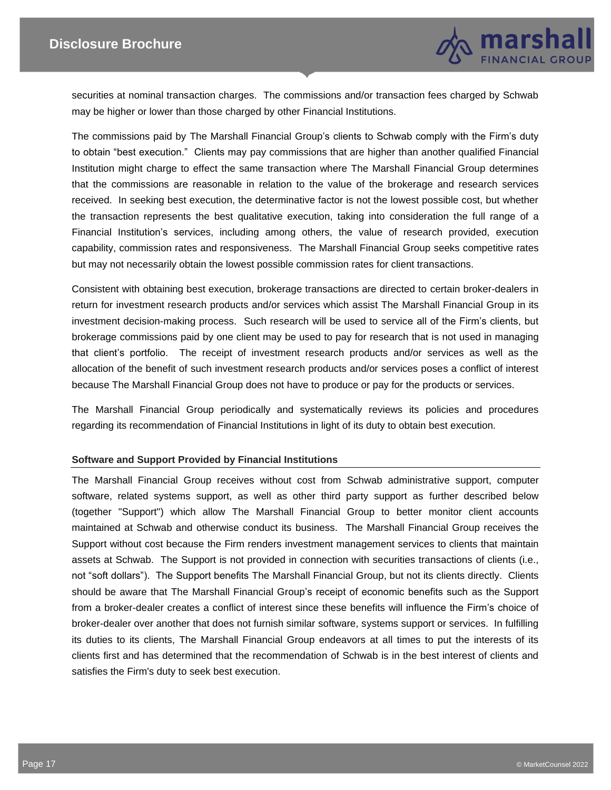

securities at nominal transaction charges. The commissions and/or transaction fees charged by Schwab may be higher or lower than those charged by other Financial Institutions.

The commissions paid by The Marshall Financial Group's clients to Schwab comply with the Firm's duty to obtain "best execution." Clients may pay commissions that are higher than another qualified Financial Institution might charge to effect the same transaction where The Marshall Financial Group determines that the commissions are reasonable in relation to the value of the brokerage and research services received. In seeking best execution, the determinative factor is not the lowest possible cost, but whether the transaction represents the best qualitative execution, taking into consideration the full range of a Financial Institution's services, including among others, the value of research provided, execution capability, commission rates and responsiveness. The Marshall Financial Group seeks competitive rates but may not necessarily obtain the lowest possible commission rates for client transactions.

Consistent with obtaining best execution, brokerage transactions are directed to certain broker-dealers in return for investment research products and/or services which assist The Marshall Financial Group in its investment decision-making process. Such research will be used to service all of the Firm's clients, but brokerage commissions paid by one client may be used to pay for research that is not used in managing that client's portfolio. The receipt of investment research products and/or services as well as the allocation of the benefit of such investment research products and/or services poses a conflict of interest because The Marshall Financial Group does not have to produce or pay for the products or services.

The Marshall Financial Group periodically and systematically reviews its policies and procedures regarding its recommendation of Financial Institutions in light of its duty to obtain best execution.

#### **Software and Support Provided by Financial Institutions**

The Marshall Financial Group receives without cost from Schwab administrative support, computer software, related systems support, as well as other third party support as further described below (together "Support") which allow The Marshall Financial Group to better monitor client accounts maintained at Schwab and otherwise conduct its business. The Marshall Financial Group receives the Support without cost because the Firm renders investment management services to clients that maintain assets at Schwab. The Support is not provided in connection with securities transactions of clients (i.e., not "soft dollars"). The Support benefits The Marshall Financial Group, but not its clients directly. Clients should be aware that The Marshall Financial Group's receipt of economic benefits such as the Support from a broker-dealer creates a conflict of interest since these benefits will influence the Firm's choice of broker-dealer over another that does not furnish similar software, systems support or services. In fulfilling its duties to its clients, The Marshall Financial Group endeavors at all times to put the interests of its clients first and has determined that the recommendation of Schwab is in the best interest of clients and satisfies the Firm's duty to seek best execution.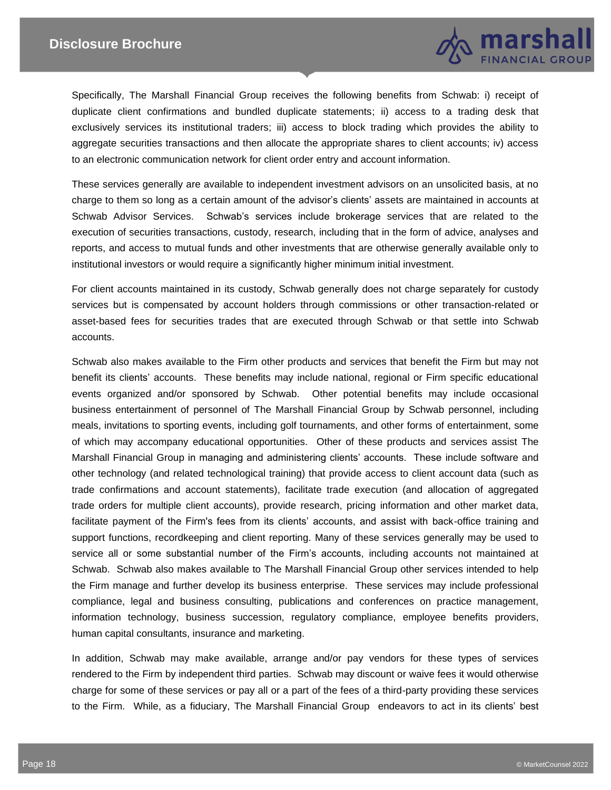

Specifically, The Marshall Financial Group receives the following benefits from Schwab: i) receipt of duplicate client confirmations and bundled duplicate statements; ii) access to a trading desk that exclusively services its institutional traders; iii) access to block trading which provides the ability to aggregate securities transactions and then allocate the appropriate shares to client accounts; iv) access to an electronic communication network for client order entry and account information.

These services generally are available to independent investment advisors on an unsolicited basis, at no charge to them so long as a certain amount of the advisor's clients' assets are maintained in accounts at Schwab Advisor Services. Schwab's services include brokerage services that are related to the execution of securities transactions, custody, research, including that in the form of advice, analyses and reports, and access to mutual funds and other investments that are otherwise generally available only to institutional investors or would require a significantly higher minimum initial investment.

For client accounts maintained in its custody, Schwab generally does not charge separately for custody services but is compensated by account holders through commissions or other transaction-related or asset-based fees for securities trades that are executed through Schwab or that settle into Schwab accounts.

Schwab also makes available to the Firm other products and services that benefit the Firm but may not benefit its clients' accounts. These benefits may include national, regional or Firm specific educational events organized and/or sponsored by Schwab. Other potential benefits may include occasional business entertainment of personnel of The Marshall Financial Group by Schwab personnel, including meals, invitations to sporting events, including golf tournaments, and other forms of entertainment, some of which may accompany educational opportunities. Other of these products and services assist The Marshall Financial Group in managing and administering clients' accounts. These include software and other technology (and related technological training) that provide access to client account data (such as trade confirmations and account statements), facilitate trade execution (and allocation of aggregated trade orders for multiple client accounts), provide research, pricing information and other market data, facilitate payment of the Firm's fees from its clients' accounts, and assist with back-office training and support functions, recordkeeping and client reporting. Many of these services generally may be used to service all or some substantial number of the Firm's accounts, including accounts not maintained at Schwab. Schwab also makes available to The Marshall Financial Group other services intended to help the Firm manage and further develop its business enterprise. These services may include professional compliance, legal and business consulting, publications and conferences on practice management, information technology, business succession, regulatory compliance, employee benefits providers, human capital consultants, insurance and marketing.

In addition, Schwab may make available, arrange and/or pay vendors for these types of services rendered to the Firm by independent third parties. Schwab may discount or waive fees it would otherwise charge for some of these services or pay all or a part of the fees of a third-party providing these services to the Firm. While, as a fiduciary, The Marshall Financial Group endeavors to act in its clients' best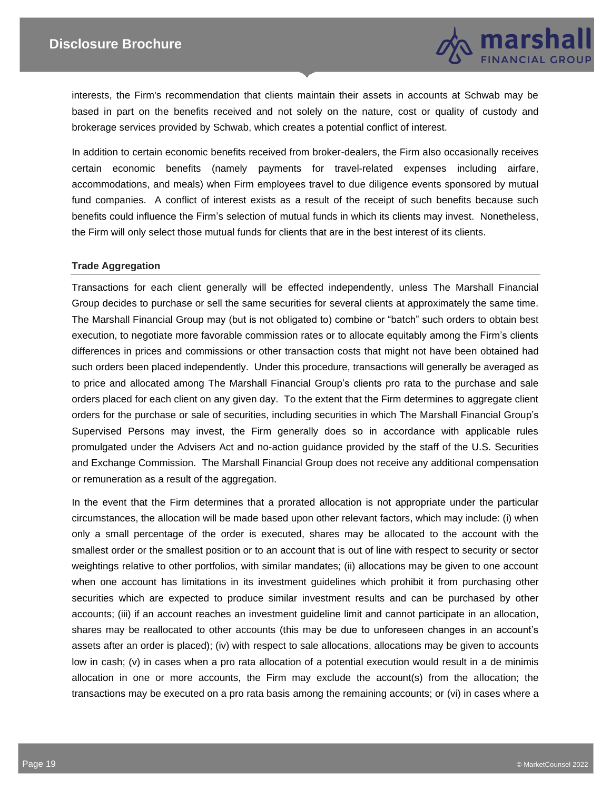

interests, the Firm's recommendation that clients maintain their assets in accounts at Schwab may be based in part on the benefits received and not solely on the nature, cost or quality of custody and brokerage services provided by Schwab, which creates a potential conflict of interest.

In addition to certain economic benefits received from broker-dealers, the Firm also occasionally receives certain economic benefits (namely payments for travel-related expenses including airfare, accommodations, and meals) when Firm employees travel to due diligence events sponsored by mutual fund companies. A conflict of interest exists as a result of the receipt of such benefits because such benefits could influence the Firm's selection of mutual funds in which its clients may invest. Nonetheless, the Firm will only select those mutual funds for clients that are in the best interest of its clients.

#### **Trade Aggregation**

Transactions for each client generally will be effected independently, unless The Marshall Financial Group decides to purchase or sell the same securities for several clients at approximately the same time. The Marshall Financial Group may (but is not obligated to) combine or "batch" such orders to obtain best execution, to negotiate more favorable commission rates or to allocate equitably among the Firm's clients differences in prices and commissions or other transaction costs that might not have been obtained had such orders been placed independently. Under this procedure, transactions will generally be averaged as to price and allocated among The Marshall Financial Group's clients pro rata to the purchase and sale orders placed for each client on any given day. To the extent that the Firm determines to aggregate client orders for the purchase or sale of securities, including securities in which The Marshall Financial Group's Supervised Persons may invest, the Firm generally does so in accordance with applicable rules promulgated under the Advisers Act and no-action guidance provided by the staff of the U.S. Securities and Exchange Commission. The Marshall Financial Group does not receive any additional compensation or remuneration as a result of the aggregation.

In the event that the Firm determines that a prorated allocation is not appropriate under the particular circumstances, the allocation will be made based upon other relevant factors, which may include: (i) when only a small percentage of the order is executed, shares may be allocated to the account with the smallest order or the smallest position or to an account that is out of line with respect to security or sector weightings relative to other portfolios, with similar mandates; (ii) allocations may be given to one account when one account has limitations in its investment guidelines which prohibit it from purchasing other securities which are expected to produce similar investment results and can be purchased by other accounts; (iii) if an account reaches an investment guideline limit and cannot participate in an allocation, shares may be reallocated to other accounts (this may be due to unforeseen changes in an account's assets after an order is placed); (iv) with respect to sale allocations, allocations may be given to accounts low in cash; (v) in cases when a pro rata allocation of a potential execution would result in a de minimis allocation in one or more accounts, the Firm may exclude the account(s) from the allocation; the transactions may be executed on a pro rata basis among the remaining accounts; or (vi) in cases where a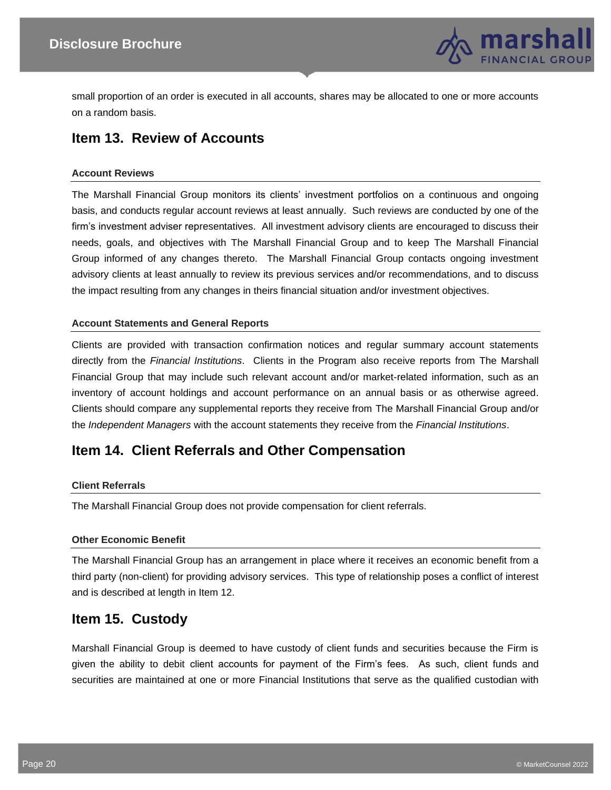

small proportion of an order is executed in all accounts, shares may be allocated to one or more accounts on a random basis.

# **Item 13. Review of Accounts**

#### **Account Reviews**

The Marshall Financial Group monitors its clients' investment portfolios on a continuous and ongoing basis, and conducts regular account reviews at least annually. Such reviews are conducted by one of the firm's investment adviser representatives. All investment advisory clients are encouraged to discuss their needs, goals, and objectives with The Marshall Financial Group and to keep The Marshall Financial Group informed of any changes thereto. The Marshall Financial Group contacts ongoing investment advisory clients at least annually to review its previous services and/or recommendations, and to discuss the impact resulting from any changes in theirs financial situation and/or investment objectives.

#### **Account Statements and General Reports**

Clients are provided with transaction confirmation notices and regular summary account statements directly from the *Financial Institutions*. Clients in the Program also receive reports from The Marshall Financial Group that may include such relevant account and/or market-related information, such as an inventory of account holdings and account performance on an annual basis or as otherwise agreed. Clients should compare any supplemental reports they receive from The Marshall Financial Group and/or the *Independent Managers* with the account statements they receive from the *Financial Institutions*.

## **Item 14. Client Referrals and Other Compensation**

#### **Client Referrals**

The Marshall Financial Group does not provide compensation for client referrals.

#### **Other Economic Benefit**

The Marshall Financial Group has an arrangement in place where it receives an economic benefit from a third party (non-client) for providing advisory services. This type of relationship poses a conflict of interest and is described at length in Item 12.

## **Item 15. Custody**

Marshall Financial Group is deemed to have custody of client funds and securities because the Firm is given the ability to debit client accounts for payment of the Firm's fees. As such, client funds and securities are maintained at one or more Financial Institutions that serve as the qualified custodian with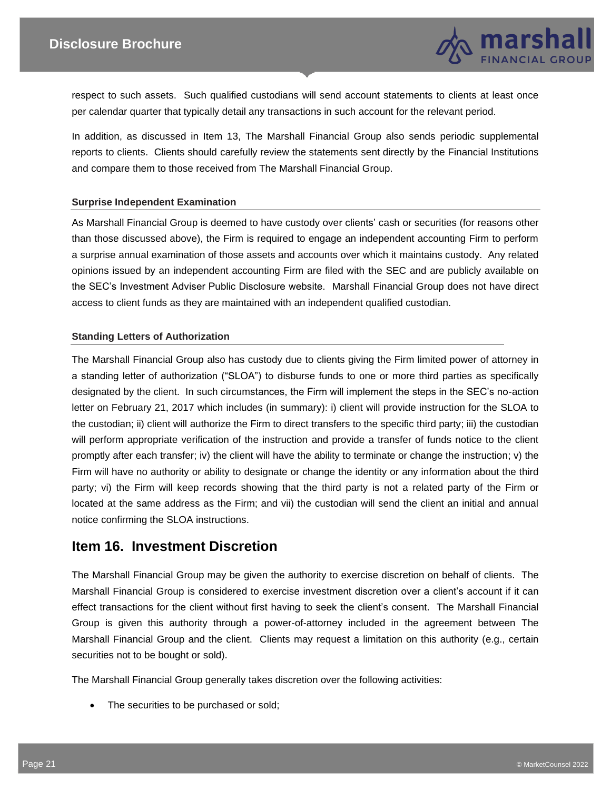

respect to such assets. Such qualified custodians will send account statements to clients at least once per calendar quarter that typically detail any transactions in such account for the relevant period.

In addition, as discussed in Item 13, The Marshall Financial Group also sends periodic supplemental reports to clients. Clients should carefully review the statements sent directly by the Financial Institutions and compare them to those received from The Marshall Financial Group.

#### **Surprise Independent Examination**

As Marshall Financial Group is deemed to have custody over clients' cash or securities (for reasons other than those discussed above), the Firm is required to engage an independent accounting Firm to perform a surprise annual examination of those assets and accounts over which it maintains custody. Any related opinions issued by an independent accounting Firm are filed with the SEC and are publicly available on the SEC's Investment Adviser Public Disclosure website. Marshall Financial Group does not have direct access to client funds as they are maintained with an independent qualified custodian.

#### **Standing Letters of Authorization**

The Marshall Financial Group also has custody due to clients giving the Firm limited power of attorney in a standing letter of authorization ("SLOA") to disburse funds to one or more third parties as specifically designated by the client. In such circumstances, the Firm will implement the steps in the SEC's no-action letter on February 21, 2017 which includes (in summary): i) client will provide instruction for the SLOA to the custodian; ii) client will authorize the Firm to direct transfers to the specific third party; iii) the custodian will perform appropriate verification of the instruction and provide a transfer of funds notice to the client promptly after each transfer; iv) the client will have the ability to terminate or change the instruction; v) the Firm will have no authority or ability to designate or change the identity or any information about the third party; vi) the Firm will keep records showing that the third party is not a related party of the Firm or located at the same address as the Firm; and vii) the custodian will send the client an initial and annual notice confirming the SLOA instructions.

### **Item 16. Investment Discretion**

The Marshall Financial Group may be given the authority to exercise discretion on behalf of clients. The Marshall Financial Group is considered to exercise investment discretion over a client's account if it can effect transactions for the client without first having to seek the client's consent. The Marshall Financial Group is given this authority through a power-of-attorney included in the agreement between The Marshall Financial Group and the client. Clients may request a limitation on this authority (e.g., certain securities not to be bought or sold).

The Marshall Financial Group generally takes discretion over the following activities:

• The securities to be purchased or sold;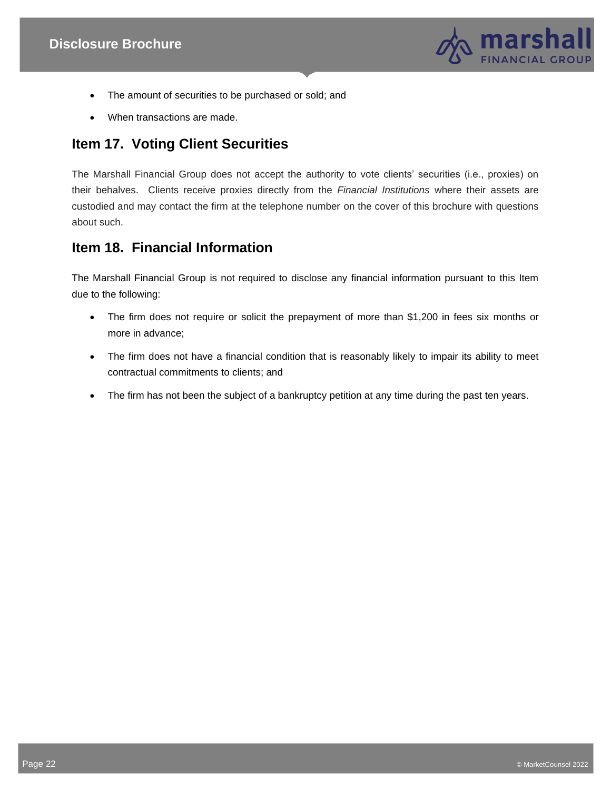

- The amount of securities to be purchased or sold; and
- When transactions are made.

# **Item 17. Voting Client Securities**

The Marshall Financial Group does not accept the authority to vote clients' securities (i.e., proxies) on their behalves. Clients receive proxies directly from the *Financial Institutions* where their assets are custodied and may contact the firm at the telephone number on the cover of this brochure with questions about such.

# **Item 18. Financial Information**

The Marshall Financial Group is not required to disclose any financial information pursuant to this Item due to the following:

- The firm does not require or solicit the prepayment of more than \$1,200 in fees six months or more in advance;
- The firm does not have a financial condition that is reasonably likely to impair its ability to meet contractual commitments to clients; and
- The firm has not been the subject of a bankruptcy petition at any time during the past ten years.